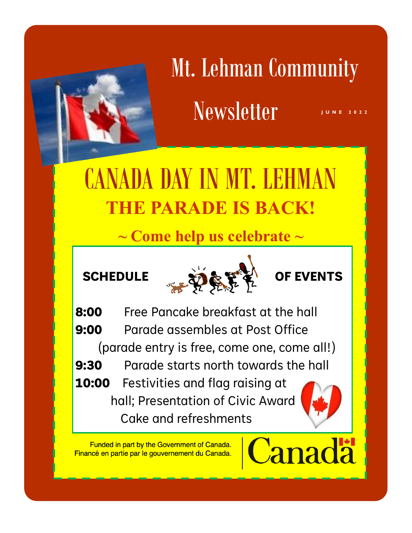

# Mt. Lehman Community  $News letter$

## CANADA DAY IN MT. LEHMAN **THE PARADE IS BACK!**

**~ Come help us celebrate ~**



**8:00** Free Pancake breakfast at the hall **9:00** Parade assembles at Post Office (parade entry is free, come one, come all!) **9:30** Parade starts north towards the hall **10:00** Festivities and flag raising at hall; Presentation of Civic Award Cake and refreshments

Funded in part by the Government of Canada. Financé en partie par le gouvernement du Canada.



anadä